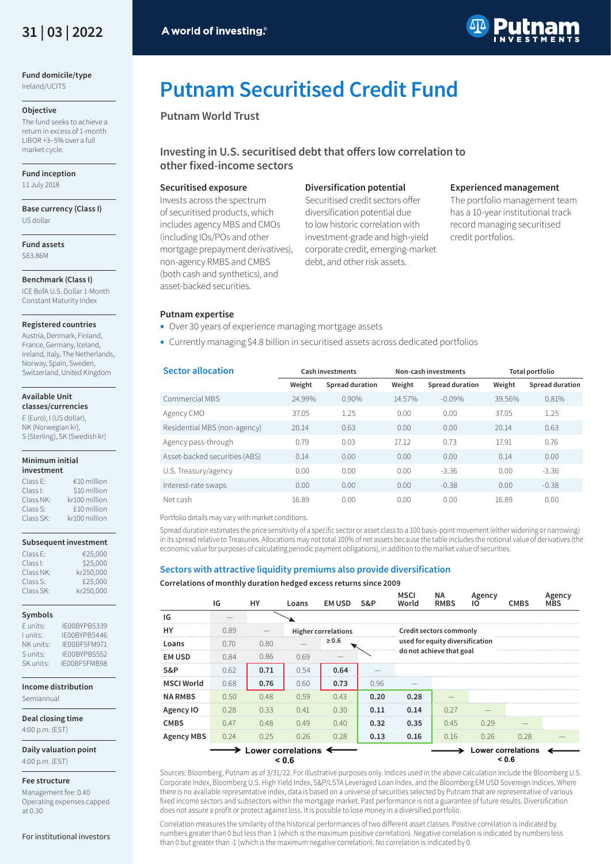

**Fund domicile/type**  Ireland/UCITS

# **Objective**

The fund seeks to achieve a return in excess of 1-month LIBOR +3–5% over a full market cycle.

# **Fund inception**

11 July 2018

#### **Base currency (Class I)** US dollar

**Fund assets**  \$83.86M

# **Benchmark (Class I)**

ICE BofA U.S. Dollar 1-Month Constant Maturity Index

# **Registered countries**

Austria, Denmark, Finland, France, Germany, Iceland, Ireland, Italy, The Netherlands, Norway, Spain, Sweden, Switzerland, United Kingdom

#### **Available Unit classes/currencies**

E (Euro), I (US dollar), NK (Norwegian kr), S (Sterling), SK (Swedish kr)

#### **Minimum initial investment**

| Class E:  | €10 million   |
|-----------|---------------|
| Class I:  | \$10 million  |
| Class NK: | kr100 million |
| Class S:  | £10 million   |
| Class SK: | kr100 million |

# **Subsequent investment**

| Class E:  | €25.000   |
|-----------|-----------|
| Class I:  | \$25,000  |
| Class NK: | kr250.000 |
| Class S:  | £25,000   |
| Class SK: | kr250.000 |

# **Symbols**

| E units:  | IF00BYPB5339 |
|-----------|--------------|
| I units:  | IF00BYPB5446 |
| NK units: | IE00BF5FM971 |
| Sunits:   | IF00BYPB5552 |
| SK units: | IF00BF5FMB98 |

**Income distribution** Semiannual

**Deal closing time**

4:00 p.m. (EST)

**Daily valuation point** 4:00 p.m. (EST)

# **Fee structure**

Management fee: 0.40 Operating expenses capped at 0.30

For institutional investors



# **Putnam Securitised Credit Fund**

**Putnam World Trust**

# **Investing in U.S. securitised debt that offers low correlation to other fixed-income sectors**

# **Securitised exposure**

Invests across the spectrum of securitised products, which includes agency MBS and CMOs (including IOs/POs and other mortgage prepayment derivatives), non-agency RMBS and CMBS (both cash and synthetics), and asset-backed securities.

# **Diversification potential**

Securitised credit sectors offer diversification potential due to low historic correlation with investment-grade and high-yield corporate credit, emerging-market debt, and other risk assets.

# **Experienced management**

The portfolio management team has a 10-year institutional track record managing securitised credit portfolios.

# **Putnam expertise**

- Over 30 years of experience managing mortgage assets
- Currently managing \$4.8 billion in securitised assets across dedicated portfolios

| <b>Sector allocation</b>      | Cash investments |                 |        | Non-cash investments | Total portfolio |                 |
|-------------------------------|------------------|-----------------|--------|----------------------|-----------------|-----------------|
|                               | Weight           | Spread duration | Weight | Spread duration      | Weight          | Spread duration |
| Commercial MBS                | 24.99%           | 0.90%           | 14.57% | $-0.09%$             | 39.56%          | 0.81%           |
| Agency CMO                    | 37.05            | 1.25            | 0.00   | 0.00                 | 37.05           | 1.25            |
| Residential MBS (non-agency)  | 20.14            | 0.63            | 0.00   | 0.00                 | 20.14           | 0.63            |
| Agency pass-through           | 0.79             | 0.03            | 17.12  | 0.73                 | 17.91           | 0.76            |
| Asset-backed securities (ABS) | 0.14             | 0.00            | 0.00   | 0.00                 | 0.14            | 0.00            |
| U.S. Treasury/agency          | 0.00             | 0.00            | 0.00   | $-3.36$              | 0.00            | $-3.36$         |
| Interest-rate swaps           | 0.00             | 0.00            | 0.00   | $-0.38$              | 0.00            | $-0.38$         |
| Net cash                      | 16.89            | 0.00            | 0.00   | 0.00                 | 16.89           | 0.00            |

Portfolio details may vary with market conditions.

Spread duration estimates the price sensitivity of a specific sector or asset class to a 100 basis-point movement (either widening or narrowing) in its spread relative to Treasuries. Allocations may not total 100% of net assets because the table includes the notional value of derivatives (the economic value for purposes of calculating periodic payment obligations), in addition to the market value of securities.

# **Sectors with attractive liquidity premiums also provide diversification**

# **Correlations of monthly duration hedged excess returns since 2009**

|                                                                                                | IG   | HY   | Loans | EM USD                     | <b>S&amp;P</b> | MSCI<br>World | ΝA<br><b>RMBS</b>               | Agency<br>10 | <b>CMBS</b> | Agency<br><b>MBS</b> |
|------------------------------------------------------------------------------------------------|------|------|-------|----------------------------|----------------|---------------|---------------------------------|--------------|-------------|----------------------|
| IG                                                                                             |      |      |       |                            |                |               |                                 |              |             |                      |
| HY                                                                                             | 0.89 |      |       | <b>Higher correlations</b> |                |               | Credit sectors commonly         |              |             |                      |
| Loans                                                                                          | 0.70 | 0.80 |       | $\geq 0.6$                 |                |               | used for equity diversification |              |             |                      |
| <b>EM USD</b>                                                                                  | 0.84 | 0.86 | 0.69  |                            |                |               | do not achieve that goal        |              |             |                      |
| S&P                                                                                            | 0.62 | 0.71 | 0.54  | 0.64                       |                |               |                                 |              |             |                      |
| <b>MSCI World</b>                                                                              | 0.68 | 0.76 | 0.60  | 0.73                       | 0.96           |               |                                 |              |             |                      |
| <b>NA RMBS</b>                                                                                 | 0.50 | 0.48 | 0.59  | 0.43                       | 0.20           | 0.28          |                                 |              |             |                      |
| Agency IO                                                                                      | 0.28 | 0.33 | 0.41  | 0.30                       | 0.11           | 0.14          | 0.27                            |              |             |                      |
| <b>CMBS</b>                                                                                    | 0.47 | 0.48 | 0.49  | 0.40                       | 0.32           | 0.35          | 0.45                            | 0.29         |             |                      |
| <b>Agency MBS</b>                                                                              | 0.24 | 0.25 | 0.26  | 0.28                       | 0.13           | 0.16          | 0.16                            | 0.26         | 0.28        |                      |
| $\longrightarrow$ Lower correlations $\leftarrow$<br><b>Lower correlations</b><br>< 0.6<br>0.6 |      |      |       |                            |                |               |                                 |              |             |                      |

Sources: Bloomberg, Putnam as of 3/31/22. For illustrative purposes only. Indices used in the above calculation include the Bloomberg U.S. Corporate Index, Bloomberg U.S. High Yield Index, S&P/LSTA Leveraged Loan Index, and the Bloomberg EM USD Sovereign Indices. Where there is no available representative index, data is based on a universe of securities selected by Putnam that are representative of various fixed income sectors and subsectors within the mortgage market. Past performance is not a guarantee of future results. Diversification does not assure a profit or protect against loss. It is possible to lose money in a diversified portfolio.

Correlation measures the similarity of the historical performances of two different asset classes. Positive correlation is indicated by numbers greater than 0 but less than 1 (which is the maximum positive correlation). Negative correlation is indicated by numbers less than 0 but greater than -1 (which is the maximum negative correlation). No correlation is indicated by 0.